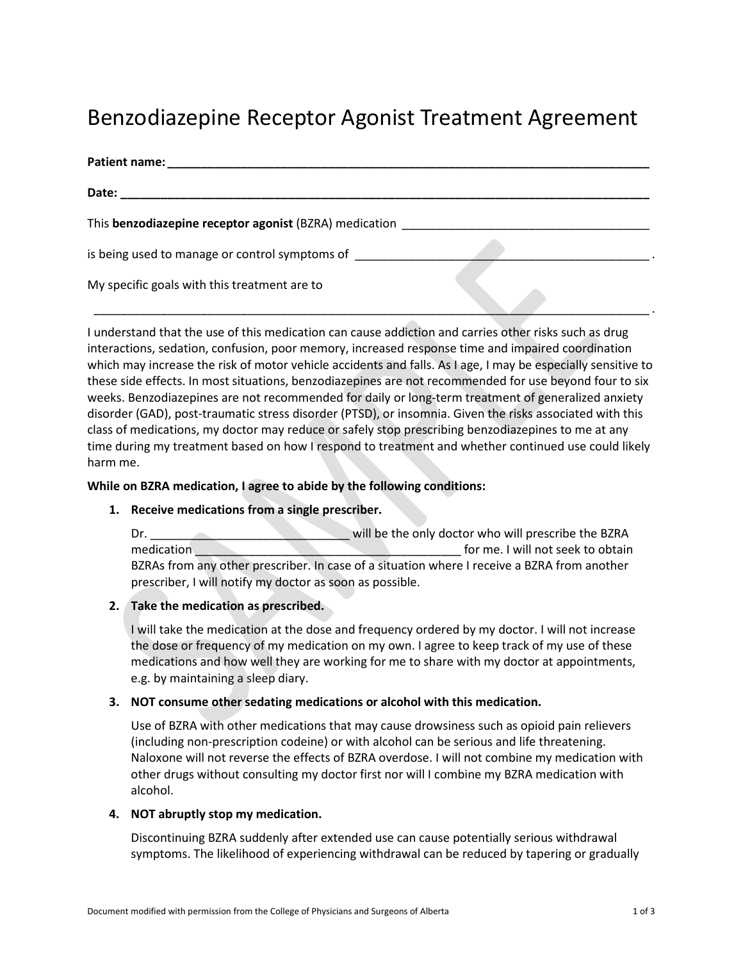# Benzodiazepine Receptor Agonist Treatment Agreement

| Patient name:                                          |  |
|--------------------------------------------------------|--|
| Date:                                                  |  |
| This benzodiazepine receptor agonist (BZRA) medication |  |
| is being used to manage or control symptoms of         |  |
| My specific goals with this treatment are to           |  |

I understand that the use of this medication can cause addiction and carries other risks such as drug interactions, sedation, confusion, poor memory, increased response time and impaired coordination which may increase the risk of motor vehicle accidents and falls. As I age, I may be especially sensitive to these side effects. In most situations, benzodiazepines are not recommended for use beyond four to six weeks. Benzodiazepines are not recommended for daily or long-term treatment of generalized anxiety disorder (GAD), post-traumatic stress disorder (PTSD), or insomnia. Given the risks associated with this class of medications, my doctor may reduce or safely stop prescribing benzodiazepines to me at any time during my treatment based on how I respond to treatment and whether continued use could likely harm me.

## **While on BZRA medication, I agree to abide by the following conditions:**

# **1. Receive medications from a single prescriber.**

Dr. \_\_\_\_\_\_\_\_\_\_\_\_\_\_\_\_\_\_\_\_\_\_\_\_\_\_\_\_\_\_ will be the only doctor who will prescribe the BZRA medication of the twill not seek to obtain BZRAs from any other prescriber. In case of a situation where I receive a BZRA from another prescriber, I will notify my doctor as soon as possible.

# **2. Take the medication as prescribed.**

I will take the medication at the dose and frequency ordered by my doctor. I will not increase the dose or frequency of my medication on my own. I agree to keep track of my use of these medications and how well they are working for me to share with my doctor at appointments, e.g. by maintaining a sleep diary.

#### **3. NOT consume other sedating medications or alcohol with this medication.**

Use of BZRA with other medications that may cause drowsiness such as opioid pain relievers (including non-prescription codeine) or with alcohol can be serious and life threatening. Naloxone will not reverse the effects of BZRA overdose. I will not combine my medication with other drugs without consulting my doctor first nor will I combine my BZRA medication with alcohol.

#### **4. NOT abruptly stop my medication.**

Discontinuing BZRA suddenly after extended use can cause potentially serious withdrawal symptoms. The likelihood of experiencing withdrawal can be reduced by tapering or gradually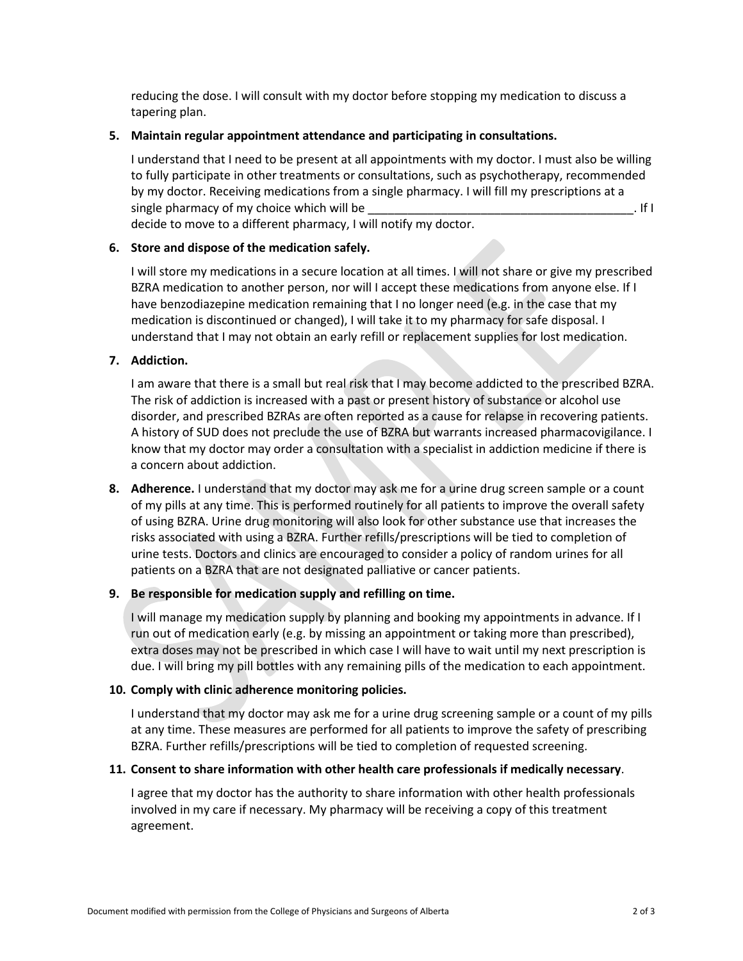reducing the dose. I will consult with my doctor before stopping my medication to discuss a tapering plan.

## **5. Maintain regular appointment attendance and participating in consultations.**

I understand that I need to be present at all appointments with my doctor. I must also be willing to fully participate in other treatments or consultations, such as psychotherapy, recommended by my doctor. Receiving medications from a single pharmacy. I will fill my prescriptions at a single pharmacy of my choice which will be  $\blacksquare$ decide to move to a different pharmacy, I will notify my doctor.

# **6. Store and dispose of the medication safely.**

I will store my medications in a secure location at all times. I will not share or give my prescribed BZRA medication to another person, nor will I accept these medications from anyone else. If I have benzodiazepine medication remaining that I no longer need (e.g. in the case that my medication is discontinued or changed), I will take it to my pharmacy for safe disposal. I understand that I may not obtain an early refill or replacement supplies for lost medication.

## **7. Addiction.**

I am aware that there is a small but real risk that I may become addicted to the prescribed BZRA. The risk of addiction is increased with a past or present history of substance or alcohol use disorder, and prescribed BZRAs are often reported as a cause for relapse in recovering patients. A history of SUD does not preclude the use of BZRA but warrants increased pharmacovigilance. I know that my doctor may order a consultation with a specialist in addiction medicine if there is a concern about addiction.

**8. Adherence.** I understand that my doctor may ask me for a urine drug screen sample or a count of my pills at any time. This is performed routinely for all patients to improve the overall safety of using BZRA. Urine drug monitoring will also look for other substance use that increases the risks associated with using a BZRA. Further refills/prescriptions will be tied to completion of urine tests. Doctors and clinics are encouraged to consider a policy of random urines for all patients on a BZRA that are not designated palliative or cancer patients.

#### **9. Be responsible for medication supply and refilling on time.**

I will manage my medication supply by planning and booking my appointments in advance. If I run out of medication early (e.g. by missing an appointment or taking more than prescribed), extra doses may not be prescribed in which case I will have to wait until my next prescription is due. I will bring my pill bottles with any remaining pills of the medication to each appointment.

#### **10. Comply with clinic adherence monitoring policies.**

I understand that my doctor may ask me for a urine drug screening sample or a count of my pills at any time. These measures are performed for all patients to improve the safety of prescribing BZRA. Further refills/prescriptions will be tied to completion of requested screening.

#### **11. Consent to share information with other health care professionals if medically necessary**.

I agree that my doctor has the authority to share information with other health professionals involved in my care if necessary. My pharmacy will be receiving a copy of this treatment agreement.